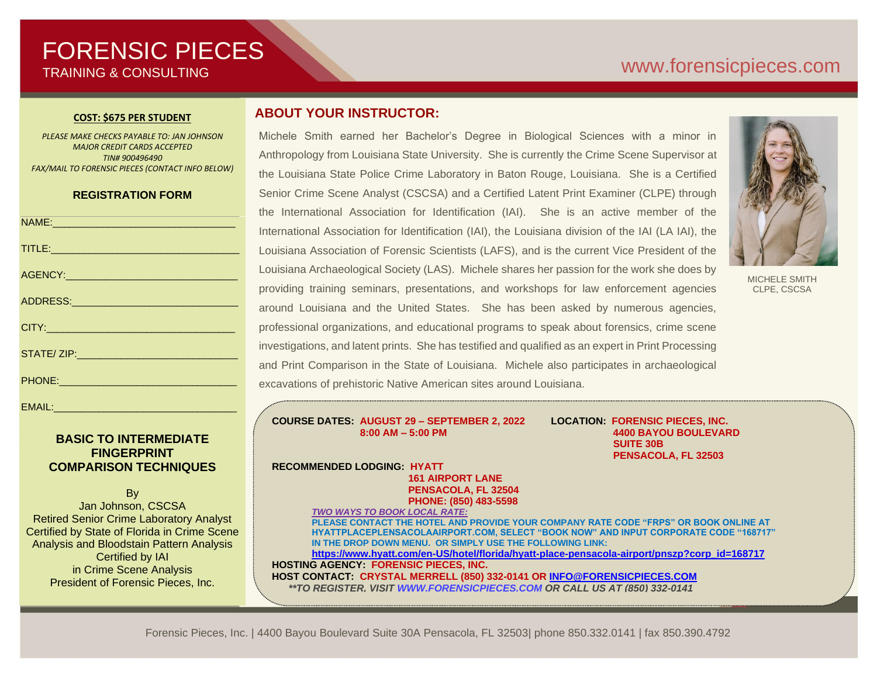# FORENSIC PIECES TRAINING & CONSULTING

# [www.forensicp](http://www.forensic/)ieces.com

### **COST: \$675 PER STUDENT**

*PLEASE MAKE CHECKS PAYABLE TO: JAN JOHNSON MAJOR CREDIT CARDS ACCEPTED TIN# 900496490 FAX/MAIL TO FORENSIC PIECES (CONTACT INFO BELOW)*

### **REGISTRATION FORM**

| NAME: 2008 2009 2009 2009 2009 2010 2021 2022 2023 2024 2022 2023 2024 2022 2023 2024 2022 2023 2024 2022 2023                                                                                                                 |
|--------------------------------------------------------------------------------------------------------------------------------------------------------------------------------------------------------------------------------|
| TITLE: Production and the contract of the contract of the contract of the contract of the contract of the contract of the contract of the contract of the contract of the contract of the contract of the contract of the cont |
|                                                                                                                                                                                                                                |
|                                                                                                                                                                                                                                |
|                                                                                                                                                                                                                                |
| STATE/ ZIP: And the contract of the contract of the contract of the contract of the contract of the contract of the contract of the contract of the contract of the contract of the contract of the contract of the contract o |
|                                                                                                                                                                                                                                |
|                                                                                                                                                                                                                                |

### **BASIC TO INTERMEDIATE FINGERPRINT COMPARISON TECHNIQUES**

**B**<sub>v</sub> Jan Johnson, CSCSA Retired Senior Crime Laboratory Analyst Certified by State of Florida in Crime Scene Analysis and Bloodstain Pattern Analysis Certified by IAI in Crime Scene Analysis President of Forensic Pieces, Inc.

### **ABOUT YOUR INSTRUCTOR:**

Michele Smith earned her Bachelor's Degree in Biological Sciences with a minor in Anthropology from Louisiana State University. She is currently the Crime Scene Supervisor at the Louisiana State Police Crime Laboratory in Baton Rouge, Louisiana. She is a Certified Senior Crime Scene Analyst (CSCSA) and a Certified Latent Print Examiner (CLPE) through the International Association for Identification (IAI). She is an active member of the International Association for Identification (IAI), the Louisiana division of the IAI (LA IAI), the Louisiana Association of Forensic Scientists (LAFS), and is the current Vice President of the Louisiana Archaeological Society (LAS). Michele shares her passion for the work she does by providing training seminars, presentations, and workshops for law enforcement agencies around Louisiana and the United States. She has been asked by numerous agencies, professional organizations, and educational programs to speak about forensics, crime scene investigations, and latent prints. She has testified and qualified as an expert in Print Processing and Print Comparison in the State of Louisiana. Michele also participates in archaeological excavations of prehistoric Native American sites around Louisiana.



MICHELE SMITH CLPE, CSCSA

**COURSE DATES: AUGUST 29 – SEPTEMBER 2, 2022 LOCATION: FORENSIC PIECES, INC. 8:00 AM – 5:00 PM 4400 BAYOU BOULEVARD**

 **SUITE 30B PENSACOLA, FL 32503**

**RECOMMENDED LODGING: HYATT 161 AIRPORT LANE PENSACOLA, FL 32504 PHONE: (850) 483-5598** *TWO WAYS TO BOOK LOCAL RATE:*

**PLEASE CONTACT THE HOTEL AND PROVIDE YOUR COMPANY RATE CODE "FRPS" OR BOOK ONLINE AT HYATTPLACEPLENSACOLAAIRPORT.COM, SELECT "BOOK NOW" AND INPUT CORPORATE CODE "168717" IN THE DROP DOWN MENU. OR SIMPLY USE THE FOLLOWING LINK: [https://www.hyatt.com/en-US/hotel/florida/hyatt-place-pensacola-airport/pnszp?corp\\_id=168717](https://www.hyatt.com/en-US/hotel/florida/hyatt-place-pensacola-airport/pnszp?corp_id=168717) HOSTING AGENCY: FORENSIC PIECES, INC. HOST CONTACT: CRYSTAL MERRELL (850) 332-0141 OR [INFO@FORENSICPIECES.COM](mailto:INFO@FORENSICPIECES.COM)**

 *\*\*TO REGISTER, VISI[T WWW.FORENSICPIECES.COM](http://www.forensicpieces.com/) OR CALL US AT (850) 332-0141*